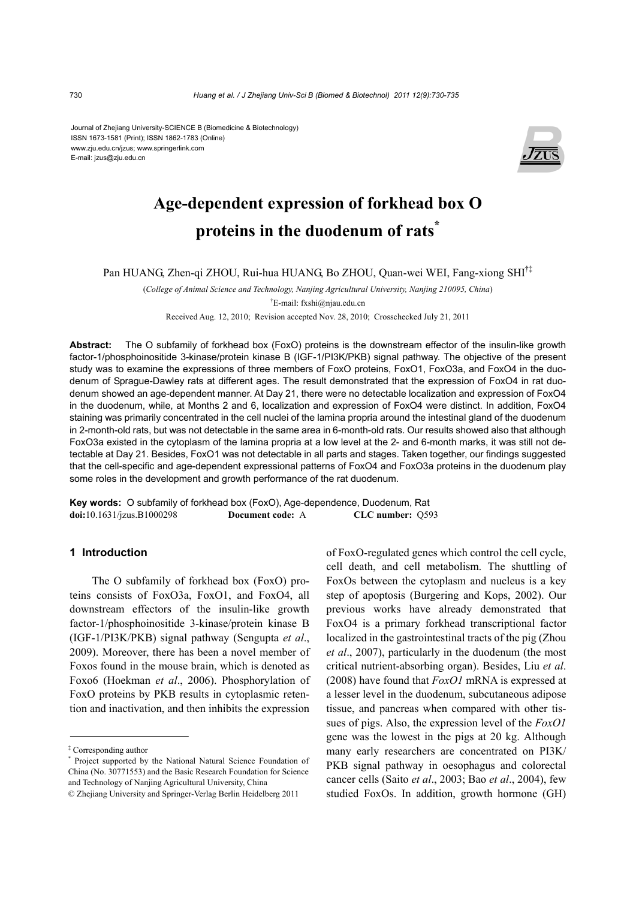Journal of Zhejiang University-SCIENCE B (Biomedicine & Biotechnology) ISSN 1673-1581 (Print); ISSN 1862-1783 (Online) www.zju.edu.cn/jzus; www.springerlink.com E-mail: jzus@zju.edu.cn



# **Age-dependent expression of forkhead box O proteins in the duodenum of rats\***

Pan HUANG, Zhen-qi ZHOU, Rui-hua HUANG, Bo ZHOU, Quan-wei WEI, Fang-xiong SHI†‡

(*College of Animal Science and Technology, Nanjing Agricultural University, Nanjing 210095, China*) † E-mail: fxshi@njau.edu.cn

Received Aug. 12, 2010; Revision accepted Nov. 28, 2010; Crosschecked July 21, 2011

**Abstract:** The O subfamily of forkhead box (FoxO) proteins is the downstream effector of the insulin-like growth factor-1/phosphoinositide 3-kinase/protein kinase B (IGF-1/PI3K/PKB) signal pathway. The objective of the present study was to examine the expressions of three members of FoxO proteins, FoxO1, FoxO3a, and FoxO4 in the duodenum of Sprague-Dawley rats at different ages. The result demonstrated that the expression of FoxO4 in rat duodenum showed an age-dependent manner. At Day 21, there were no detectable localization and expression of FoxO4 in the duodenum, while, at Months 2 and 6, localization and expression of FoxO4 were distinct. In addition, FoxO4 staining was primarily concentrated in the cell nuclei of the lamina propria around the intestinal gland of the duodenum in 2-month-old rats, but was not detectable in the same area in 6-month-old rats. Our results showed also that although FoxO3a existed in the cytoplasm of the lamina propria at a low level at the 2- and 6-month marks, it was still not detectable at Day 21. Besides, FoxO1 was not detectable in all parts and stages. Taken together, our findings suggested that the cell-specific and age-dependent expressional patterns of FoxO4 and FoxO3a proteins in the duodenum play some roles in the development and growth performance of the rat duodenum.

**Key words:** O subfamily of forkhead box (FoxO), Age-dependence, Duodenum, Rat **doi:**10.1631/jzus.B1000298 **Document code:** A **CLC number:** Q593

#### **1 Introduction**

The O subfamily of forkhead box (FoxO) proteins consists of FoxO3a, FoxO1, and FoxO4, all downstream effectors of the insulin-like growth factor-1/phosphoinositide 3-kinase/protein kinase B (IGF-1/PI3K/PKB) signal pathway (Sengupta *et al*., 2009). Moreover, there has been a novel member of Foxos found in the mouse brain, which is denoted as Foxo6 (Hoekman *et al*., 2006). Phosphorylation of FoxO proteins by PKB results in cytoplasmic retention and inactivation, and then inhibits the expression

of FoxO-regulated genes which control the cell cycle, cell death, and cell metabolism. The shuttling of FoxOs between the cytoplasm and nucleus is a key step of apoptosis (Burgering and Kops, 2002). Our previous works have already demonstrated that FoxO4 is a primary forkhead transcriptional factor localized in the gastrointestinal tracts of the pig (Zhou *et al*., 2007), particularly in the duodenum (the most critical nutrient-absorbing organ). Besides, Liu *et al*. (2008) have found that *FoxO1* mRNA is expressed at a lesser level in the duodenum, subcutaneous adipose tissue, and pancreas when compared with other tissues of pigs. Also, the expression level of the *FoxO1* gene was the lowest in the pigs at 20 kg. Although many early researchers are concentrated on PI3K/ PKB signal pathway in oesophagus and colorectal cancer cells (Saito *et al*., 2003; Bao *et al*., 2004), few studied FoxOs. In addition, growth hormone (GH)

<sup>‡</sup> Corresponding author

<sup>\*</sup> Project supported by the National Natural Science Foundation of China (No. 30771553) and the Basic Research Foundation for Science and Technology of Nanjing Agricultural University, China © Zhejiang University and Springer-Verlag Berlin Heidelberg 2011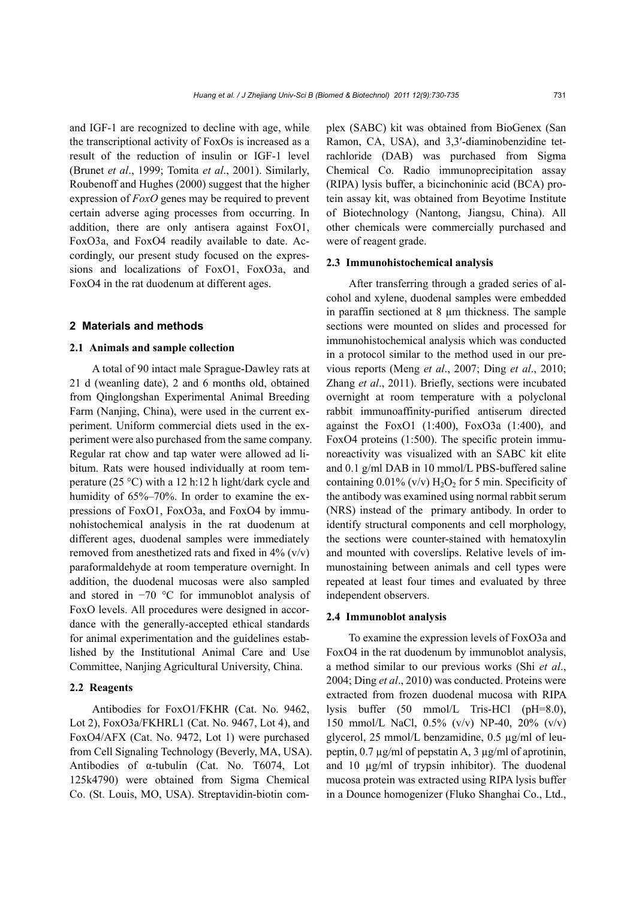and IGF-1 are recognized to decline with age, while the transcriptional activity of FoxOs is increased as a result of the reduction of insulin or IGF-1 level (Brunet *et al*., 1999; Tomita *et al*., 2001). Similarly, Roubenoff and Hughes (2000) suggest that the higher expression of *FoxO* genes may be required to prevent certain adverse aging processes from occurring. In addition, there are only antisera against FoxO1, FoxO3a, and FoxO4 readily available to date. Accordingly, our present study focused on the expressions and localizations of FoxO1, FoxO3a, and FoxO4 in the rat duodenum at different ages.

#### **2 Materials and methods**

## **2.1 Animals and sample collection**

A total of 90 intact male Sprague-Dawley rats at 21 d (weanling date), 2 and 6 months old, obtained from Qinglongshan Experimental Animal Breeding Farm (Nanjing, China), were used in the current experiment. Uniform commercial diets used in the experiment were also purchased from the same company. Regular rat chow and tap water were allowed ad libitum. Rats were housed individually at room temperature (25 °C) with a 12 h:12 h light/dark cycle and humidity of 65%–70%. In order to examine the expressions of FoxO1, FoxO3a, and FoxO4 by immunohistochemical analysis in the rat duodenum at different ages, duodenal samples were immediately removed from anesthetized rats and fixed in  $4\%$  (v/v) paraformaldehyde at room temperature overnight. In addition, the duodenal mucosas were also sampled and stored in −70 °C for immunoblot analysis of FoxO levels. All procedures were designed in accordance with the generally-accepted ethical standards for animal experimentation and the guidelines established by the Institutional Animal Care and Use Committee, Nanjing Agricultural University, China.

## **2.2 Reagents**

Antibodies for FoxO1/FKHR (Cat. No. 9462, Lot 2), FoxO3a/FKHRL1 (Cat. No. 9467, Lot 4), and FoxO4/AFX (Cat. No. 9472, Lot 1) were purchased from Cell Signaling Technology (Beverly, MA, USA). Antibodies of α-tubulin (Cat. No. T6074, Lot 125k4790) were obtained from Sigma Chemical Co. (St. Louis, MO, USA). Streptavidin-biotin complex (SABC) kit was obtained from BioGenex (San Ramon, CA, USA), and 3,3′-diaminobenzidine tetrachloride (DAB) was purchased from Sigma Chemical Co. Radio immunoprecipitation assay (RIPA) lysis buffer, a bicinchoninic acid (BCA) protein assay kit, was obtained from Beyotime Institute of Biotechnology (Nantong, Jiangsu, China). All other chemicals were commercially purchased and were of reagent grade.

#### **2.3 Immunohistochemical analysis**

After transferring through a graded series of alcohol and xylene, duodenal samples were embedded in paraffin sectioned at 8 µm thickness. The sample sections were mounted on slides and processed for immunohistochemical analysis which was conducted in a protocol similar to the method used in our previous reports (Meng *et al*., 2007; Ding *et al*., 2010; Zhang *et al*., 2011). Briefly, sections were incubated overnight at room temperature with a polyclonal rabbit immunoaffinity-purified antiserum directed against the FoxO1  $(1:400)$ , FoxO3a  $(1:400)$ , and FoxO4 proteins (1:500). The specific protein immunoreactivity was visualized with an SABC kit elite and 0.1 g/ml DAB in 10 mmol/L PBS-buffered saline containing  $0.01\%$  (v/v)  $H_2O_2$  for 5 min. Specificity of the antibody was examined using normal rabbit serum (NRS) instead of the primary antibody. In order to identify structural components and cell morphology, the sections were counter-stained with hematoxylin and mounted with coverslips. Relative levels of immunostaining between animals and cell types were repeated at least four times and evaluated by three independent observers.

#### **2.4 Immunoblot analysis**

To examine the expression levels of FoxO3a and FoxO4 in the rat duodenum by immunoblot analysis, a method similar to our previous works (Shi *et al*., 2004; Ding *et al*., 2010) was conducted. Proteins were extracted from frozen duodenal mucosa with RIPA lysis buffer (50 mmol/L Tris-HCl (pH=8.0), 150 mmol/L NaCl, 0.5% (v/v) NP-40, 20% (v/v) glycerol, 25 mmol/L benzamidine, 0.5 µg/ml of leupeptin, 0.7 µg/ml of pepstatin A, 3 µg/ml of aprotinin, and 10 µg/ml of trypsin inhibitor). The duodenal mucosa protein was extracted using RIPA lysis buffer in a Dounce homogenizer (Fluko Shanghai Co., Ltd.,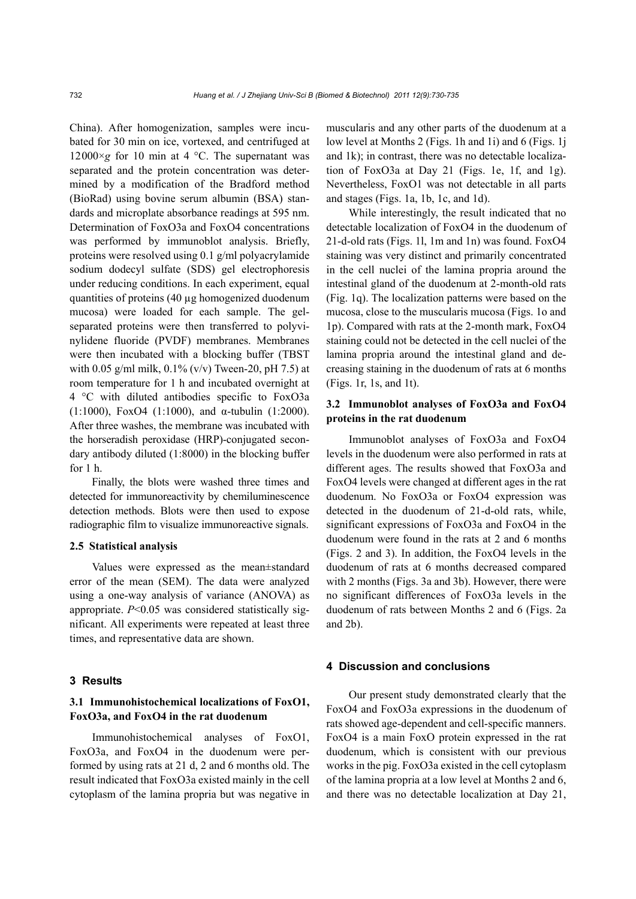China). After homogenization, samples were incubated for 30 min on ice, vortexed, and centrifuged at 12000 $\times$ *g* for 10 min at 4 °C. The supernatant was separated and the protein concentration was determined by a modification of the Bradford method (BioRad) using bovine serum albumin (BSA) standards and microplate absorbance readings at 595 nm. Determination of FoxO3a and FoxO4 concentrations was performed by immunoblot analysis. Briefly, proteins were resolved using 0.1 g/ml polyacrylamide sodium dodecyl sulfate (SDS) gel electrophoresis under reducing conditions. In each experiment, equal quantities of proteins (40 µg homogenized duodenum mucosa) were loaded for each sample. The gelseparated proteins were then transferred to polyvinylidene fluoride (PVDF) membranes. Membranes were then incubated with a blocking buffer (TBST with 0.05 g/ml milk,  $0.1\%$  (v/v) Tween-20, pH 7.5) at room temperature for 1 h and incubated overnight at 4 °C with diluted antibodies specific to FoxO3a (1:1000), FoxO4 (1:1000), and  $\alpha$ -tubulin (1:2000). After three washes, the membrane was incubated with the horseradish peroxidase (HRP)-conjugated secondary antibody diluted (1:8000) in the blocking buffer for  $1<sub>h</sub>$ .

Finally, the blots were washed three times and detected for immunoreactivity by chemiluminescence detection methods. Blots were then used to expose radiographic film to visualize immunoreactive signals.

### **2.5 Statistical analysis**

Values were expressed as the mean±standard error of the mean (SEM). The data were analyzed using a one-way analysis of variance (ANOVA) as appropriate. *P*<0.05 was considered statistically significant. All experiments were repeated at least three times, and representative data are shown.

#### **3 Results**

## **3.1 Immunohistochemical localizations of FoxO1, FoxO3a, and FoxO4 in the rat duodenum**

Immunohistochemical analyses of FoxO1, FoxO3a, and FoxO4 in the duodenum were performed by using rats at 21 d, 2 and 6 months old. The result indicated that FoxO3a existed mainly in the cell cytoplasm of the lamina propria but was negative in muscularis and any other parts of the duodenum at a low level at Months 2 (Figs. 1h and 1i) and 6 (Figs. 1j and 1k); in contrast, there was no detectable localization of FoxO3a at Day 21 (Figs. 1e, 1f, and 1g). Nevertheless, FoxO1 was not detectable in all parts and stages (Figs. 1a, 1b, 1c, and 1d).

While interestingly, the result indicated that no detectable localization of FoxO4 in the duodenum of 21-d-old rats (Figs. 1l, 1m and 1n) was found. FoxO4 staining was very distinct and primarily concentrated in the cell nuclei of the lamina propria around the intestinal gland of the duodenum at 2-month-old rats (Fig. 1q). The localization patterns were based on the mucosa, close to the muscularis mucosa (Figs. 1o and 1p). Compared with rats at the 2-month mark, FoxO4 staining could not be detected in the cell nuclei of the lamina propria around the intestinal gland and decreasing staining in the duodenum of rats at 6 months (Figs. 1r, 1s, and 1t).

## **3.2 Immunoblot analyses of FoxO3a and FoxO4 proteins in the rat duodenum**

Immunoblot analyses of FoxO3a and FoxO4 levels in the duodenum were also performed in rats at different ages. The results showed that FoxO3a and FoxO4 levels were changed at different ages in the rat duodenum. No FoxO3a or FoxO4 expression was detected in the duodenum of 21-d-old rats, while, significant expressions of FoxO3a and FoxO4 in the duodenum were found in the rats at 2 and 6 months (Figs. 2 and 3). In addition, the FoxO4 levels in the duodenum of rats at 6 months decreased compared with 2 months (Figs. 3a and 3b). However, there were no significant differences of FoxO3a levels in the duodenum of rats between Months 2 and 6 (Figs. 2a and 2b).

#### **4 Discussion and conclusions**

Our present study demonstrated clearly that the FoxO4 and FoxO3a expressions in the duodenum of rats showed age-dependent and cell-specific manners. FoxO4 is a main FoxO protein expressed in the rat duodenum, which is consistent with our previous works in the pig. FoxO3a existed in the cell cytoplasm of the lamina propria at a low level at Months 2 and 6, and there was no detectable localization at Day 21,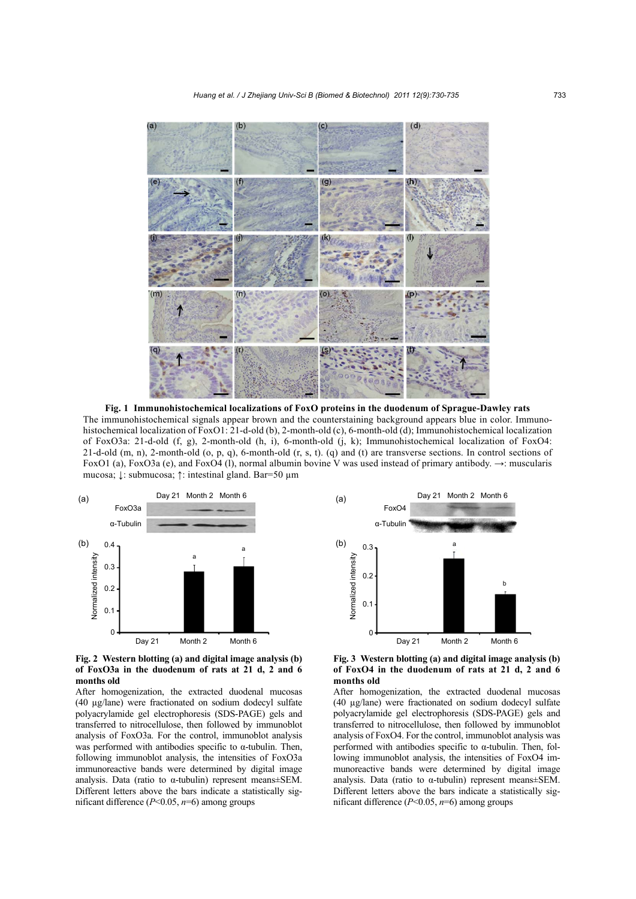

**Fig. 1 Immunohistochemical localizations of FoxO proteins in the duodenum of Sprague-Dawley rats**  The immunohistochemical signals appear brown and the counterstaining background appears blue in color. Immunohistochemical localization of FoxO1: 21-d-old (b), 2-month-old (c), 6-month-old (d); Immunohistochemical localization of FoxO3a: 21-d-old (f, g), 2-month-old (h, i), 6-month-old (j, k); Immunohistochemical localization of FoxO4: 21-d-old  $(m, n)$ , 2-month-old  $(o, p, q)$ , 6-month-old  $(r, s, t)$ . (q) and (t) are transverse sections. In control sections of FoxO1 (a), FoxO3a (e), and FoxO4 (l), normal albumin bovine V was used instead of primary antibody. →: muscularis mucosa; ↓: submucosa; ↑: intestinal gland. Bar=50 µm



**Fig. 2 Western blotting (a) and digital image analysis (b) of FoxO3a in the duodenum of rats at 21 d, 2 and 6 months old** 

After homogenization, the extracted duodenal mucosas (40 µg/lane) were fractionated on sodium dodecyl sulfate polyacrylamide gel electrophoresis (SDS-PAGE) gels and transferred to nitrocellulose, then followed by immunoblot analysis of FoxO3a. For the control, immunoblot analysis was performed with antibodies specific to  $\alpha$ -tubulin. Then, following immunoblot analysis, the intensities of FoxO3a immunoreactive bands were determined by digital image analysis. Data (ratio to  $\alpha$ -tubulin) represent means±SEM. Different letters above the bars indicate a statistically significant difference (*P*<0.05, *n*=6) among groups



**Fig. 3 Western blotting (a) and digital image analysis (b) of FoxO4 in the duodenum of rats at 21 d, 2 and 6 months old**

After homogenization, the extracted duodenal mucosas (40 µg/lane) were fractionated on sodium dodecyl sulfate polyacrylamide gel electrophoresis (SDS-PAGE) gels and transferred to nitrocellulose, then followed by immunoblot analysis of FoxO4. For the control, immunoblot analysis was performed with antibodies specific to α-tubulin. Then, following immunoblot analysis, the intensities of FoxO4 immunoreactive bands were determined by digital image analysis. Data (ratio to  $\alpha$ -tubulin) represent means $\pm$ SEM. Different letters above the bars indicate a statistically significant difference (*P*<0.05, *n*=6) among groups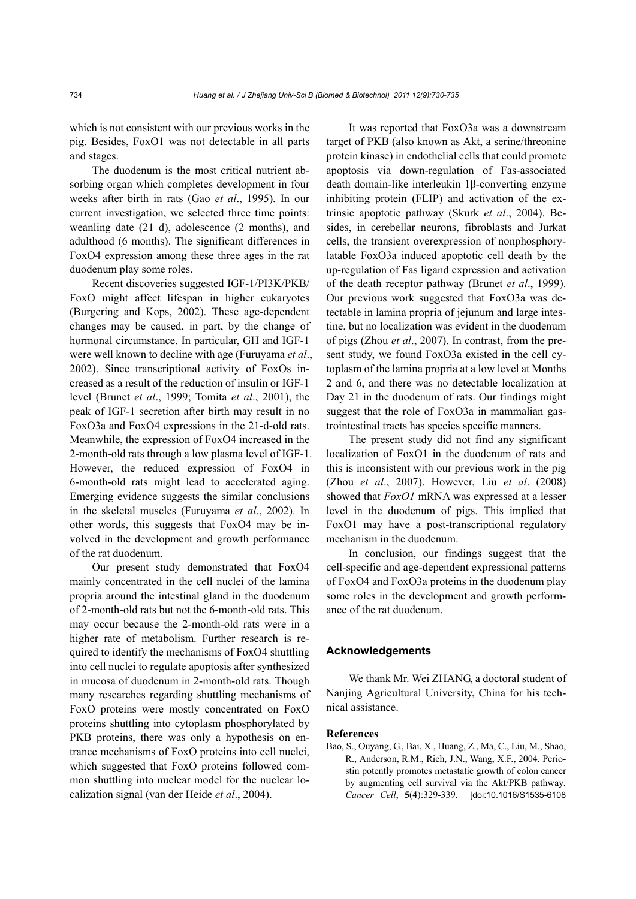which is not consistent with our previous works in the pig. Besides, FoxO1 was not detectable in all parts and stages.

The duodenum is the most critical nutrient absorbing organ which completes development in four weeks after birth in rats (Gao *et al*., 1995). In our current investigation, we selected three time points: weanling date (21 d), adolescence (2 months), and adulthood (6 months). The significant differences in FoxO4 expression among these three ages in the rat duodenum play some roles.

Recent discoveries suggested IGF-1/PI3K/PKB/ FoxO might affect lifespan in higher eukaryotes (Burgering and Kops, 2002). These age-dependent changes may be caused, in part, by the change of hormonal circumstance. In particular, GH and IGF-1 were well known to decline with age (Furuyama *et al*., 2002). Since transcriptional activity of FoxOs increased as a result of the reduction of insulin or IGF-1 level (Brunet *et al*., 1999; Tomita *et al*., 2001), the peak of IGF-1 secretion after birth may result in no FoxO3a and FoxO4 expressions in the 21-d-old rats. Meanwhile, the expression of FoxO4 increased in the 2-month-old rats through a low plasma level of IGF-1. However, the reduced expression of FoxO4 in 6-month-old rats might lead to accelerated aging. Emerging evidence suggests the similar conclusions in the skeletal muscles (Furuyama *et al*., 2002). In other words, this suggests that FoxO4 may be involved in the development and growth performance of the rat duodenum.

Our present study demonstrated that FoxO4 mainly concentrated in the cell nuclei of the lamina propria around the intestinal gland in the duodenum of 2-month-old rats but not the 6-month-old rats. This may occur because the 2-month-old rats were in a higher rate of metabolism. Further research is required to identify the mechanisms of FoxO4 shuttling into cell nuclei to regulate apoptosis after synthesized in mucosa of duodenum in 2-month-old rats. Though many researches regarding shuttling mechanisms of FoxO proteins were mostly concentrated on FoxO proteins shuttling into cytoplasm phosphorylated by PKB proteins, there was only a hypothesis on entrance mechanisms of FoxO proteins into cell nuclei, which suggested that FoxO proteins followed common shuttling into nuclear model for the nuclear localization signal (van der Heide *et al*., 2004).

It was reported that FoxO3a was a downstream target of PKB (also known as Akt, a serine/threonine protein kinase) in endothelial cells that could promote apoptosis via down-regulation of Fas-associated death domain-like interleukin 1β-converting enzyme inhibiting protein (FLIP) and activation of the extrinsic apoptotic pathway (Skurk *et al*., 2004). Besides, in cerebellar neurons, fibroblasts and Jurkat cells, the transient overexpression of nonphosphorylatable FoxO3a induced apoptotic cell death by the up-regulation of Fas ligand expression and activation of the death receptor pathway (Brunet *et al*., 1999). Our previous work suggested that FoxO3a was detectable in lamina propria of jejunum and large intestine, but no localization was evident in the duodenum of pigs (Zhou *et al*., 2007). In contrast, from the present study, we found FoxO3a existed in the cell cytoplasm of the lamina propria at a low level at Months 2 and 6, and there was no detectable localization at Day 21 in the duodenum of rats. Our findings might suggest that the role of FoxO3a in mammalian gastrointestinal tracts has species specific manners.

The present study did not find any significant localization of FoxO1 in the duodenum of rats and this is inconsistent with our previous work in the pig (Zhou *et al*., 2007). However, Liu *et al*. (2008) showed that *FoxO1* mRNA was expressed at a lesser level in the duodenum of pigs. This implied that FoxO1 may have a post-transcriptional regulatory mechanism in the duodenum.

In conclusion, our findings suggest that the cell-specific and age-dependent expressional patterns of FoxO4 and FoxO3a proteins in the duodenum play some roles in the development and growth performance of the rat duodenum.

## **Acknowledgements**

We thank Mr. Wei ZHANG, a doctoral student of Nanjing Agricultural University, China for his technical assistance.

#### **References**

Bao, S., Ouyang, G., Bai, X., Huang, Z., Ma, C., Liu, M., Shao, R., Anderson, R.M., Rich, J.N., Wang, X.F., 2004. Periostin potently promotes metastatic growth of colon cancer by augmenting cell survival via the Akt/PKB pathway*. Cancer Cell*, **5**(4):329-339. [doi:10.1016/S1535-6108